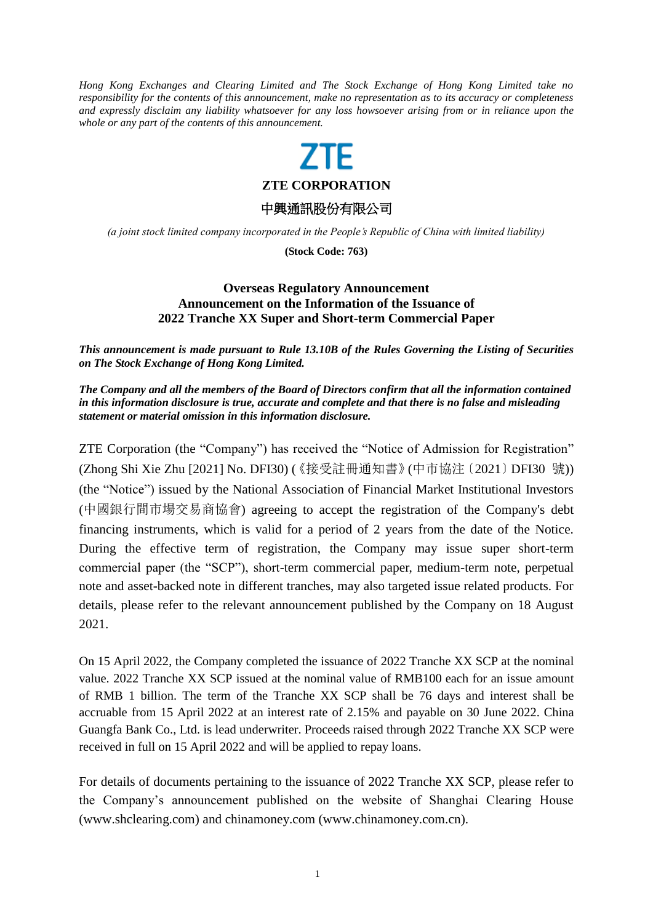*Hong Kong Exchanges and Clearing Limited and The Stock Exchange of Hong Kong Limited take no responsibility for the contents of this announcement, make no representation as to its accuracy or completeness and expressly disclaim any liability whatsoever for any loss howsoever arising from or in reliance upon the whole or any part of the contents of this announcement.*

## 7TF

**ZTE CORPORATION**

中興通訊股份有限公司

*(a joint stock limited company incorporated in the People's Republic of China with limited liability)*

**(Stock Code: 763)**

## **Overseas Regulatory Announcement Announcement on the Information of the Issuance of 2022 Tranche XX Super and Short-term Commercial Paper**

*This announcement is made pursuant to Rule 13.10B of the Rules Governing the Listing of Securities on The Stock Exchange of Hong Kong Limited.*

*The Company and all the members of the Board of Directors confirm that all the information contained in this information disclosure is true, accurate and complete and that there is no false and misleading statement or material omission in this information disclosure.*

ZTE Corporation (the "Company") has received the "Notice of Admission for Registration" (Zhong Shi Xie Zhu [2021] No. DFI30) (《接受註冊通知書》(中市協注〔2021〕DFI30 號)) (the "Notice") issued by the National Association of Financial Market Institutional Investors (中國銀行間市場交易商協會) agreeing to accept the registration of the Company's debt financing instruments, which is valid for a period of 2 years from the date of the Notice. During the effective term of registration, the Company may issue super short-term commercial paper (the "SCP"), short-term commercial paper, medium-term note, perpetual note and asset-backed note in different tranches, may also targeted issue related products. For details, please refer to the relevant announcement published by the Company on 18 August 2021.

On 15 April 2022, the Company completed the issuance of 2022 Tranche XX SCP at the nominal value. 2022 Tranche XX SCP issued at the nominal value of RMB100 each for an issue amount of RMB 1 billion. The term of the Tranche XX SCP shall be 76 days and interest shall be accruable from 15 April 2022 at an interest rate of 2.15% and payable on 30 June 2022. China Guangfa Bank Co., Ltd. is lead underwriter. Proceeds raised through 2022 Tranche XX SCP were received in full on 15 April 2022 and will be applied to repay loans.

For details of documents pertaining to the issuance of 2022 Tranche XX SCP, please refer to the Company's announcement published on the website of Shanghai Clearing House (www.shclearing.com) and chinamoney.com [\(www.chinamoney.com.cn\)](http://www.chinamoney.com.cn/).